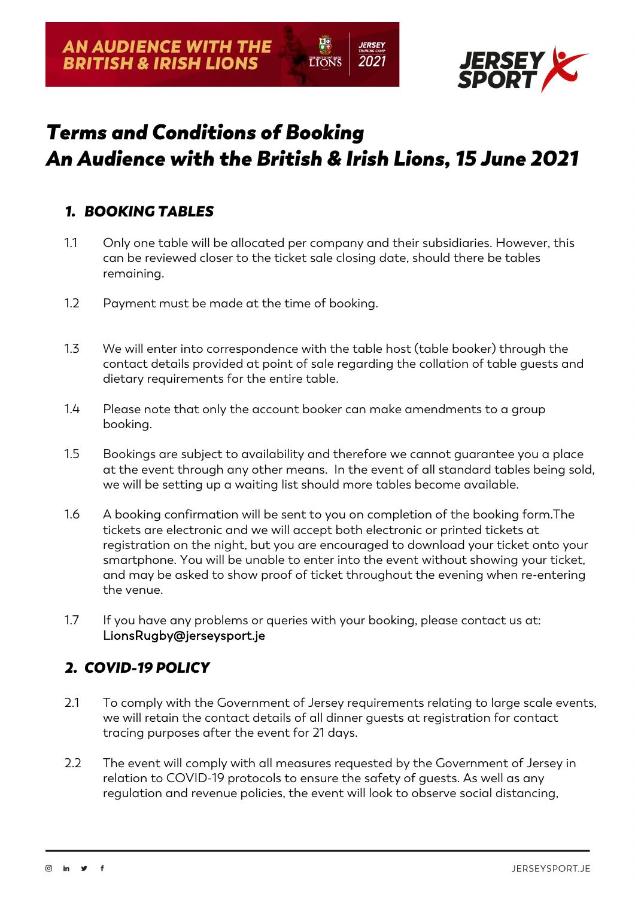

# *Terms and Conditions of Booking An Audience with the British & Irish Lions, 15 June 2021*

**TONS** 

*IERSEY* 

2021

### *1. BOOKING TABLES*

- 1.1 Only one table will be allocated per company and their subsidiaries. However, this can be reviewed closer to the ticket sale closing date, should there be tables remaining.
- 1.2 Payment must be made at the time of booking.
- 1.3 We will enter into correspondence with the table host (table booker) through the contact details provided at point of sale regarding the collation of table guests and dietary requirements for the entire table.
- 1.4 Please note that only the account booker can make amendments to a group booking.
- 1.5 Bookings are subject to availability and therefore we cannot guarantee you a place at the event through any other means. In the event of all standard tables being sold, we will be setting up a waiting list should more tables become available.
- 1.6 A booking confirmation will be sent to you on completion of the booking form.The tickets are electronic and we will accept both electronic or printed tickets at registration on the night, but you are encouraged to download your ticket onto your smartphone. You will be unable to enter into the event without showing your ticket, and may be asked to show proof of ticket throughout the evening when re-entering the venue.
- 1.7 If you have any problems or queries with your booking, please contact us at: LionsRugby@jerseysport.je

#### *2. COVID-19 POLICY*

- 2.1 To comply with the Government of Jersey requirements relating to large scale events, we will retain the contact details of all dinner guests at registration for contact tracing purposes after the event for 21 days.
- 2.2 The event will comply with all measures requested by the Government of Jersey in relation to COVID-19 protocols to ensure the safety of guests. As well as any regulation and revenue policies, the event will look to observe social distancing,